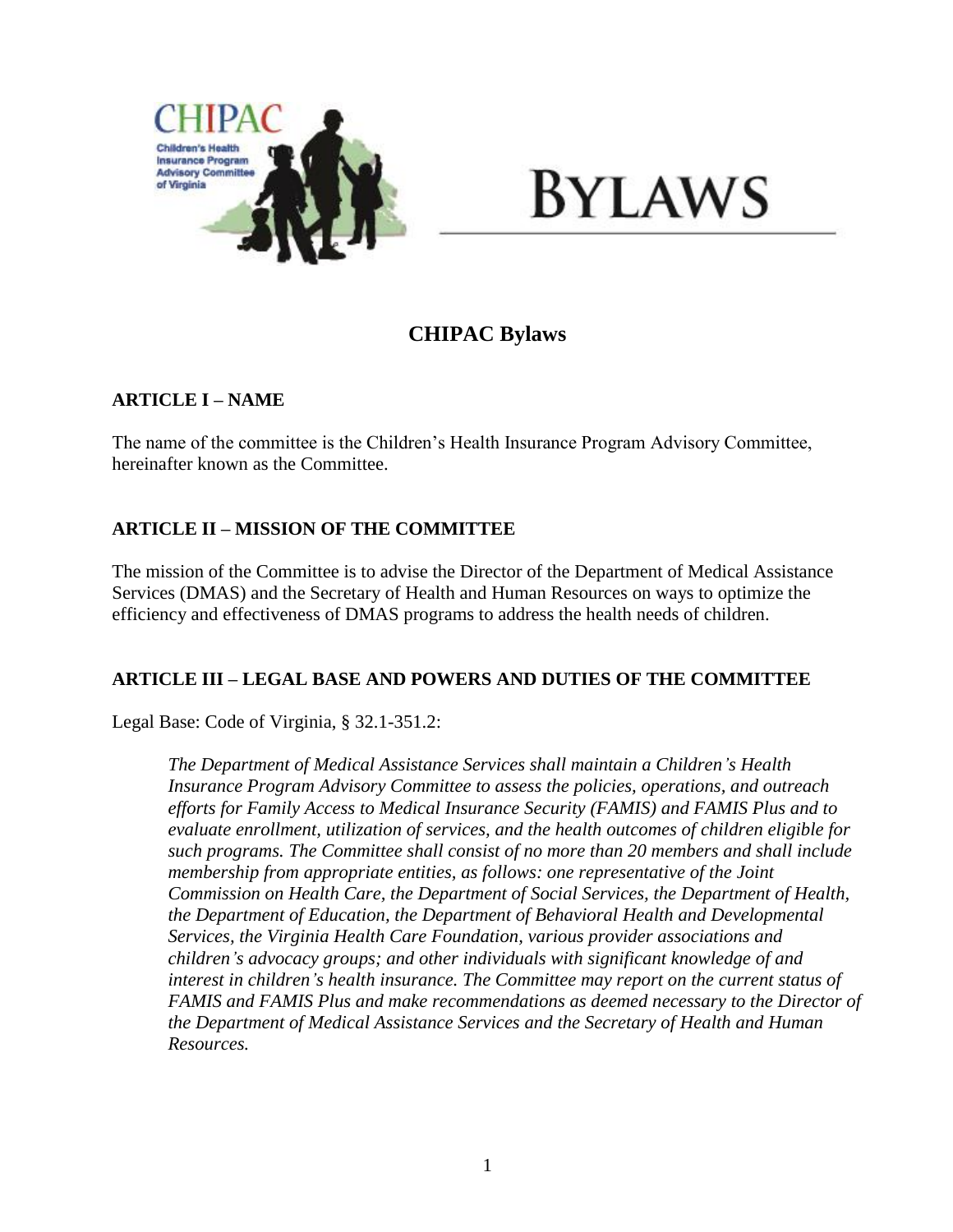

# **BYLAWS**

## **CHIPAC Bylaws**

## **ARTICLE I – NAME**

The name of the committee is the Children's Health Insurance Program Advisory Committee, hereinafter known as the Committee.

## **ARTICLE II – MISSION OF THE COMMITTEE**

The mission of the Committee is to advise the Director of the Department of Medical Assistance Services (DMAS) and the Secretary of Health and Human Resources on ways to optimize the efficiency and effectiveness of DMAS programs to address the health needs of children.

## **ARTICLE III – LEGAL BASE AND POWERS AND DUTIES OF THE COMMITTEE**

Legal Base: Code of Virginia, § 32.1-351.2:

*The Department of Medical Assistance Services shall maintain a Children's Health Insurance Program Advisory Committee to assess the policies, operations, and outreach efforts for Family Access to Medical Insurance Security (FAMIS) and FAMIS Plus and to evaluate enrollment, utilization of services, and the health outcomes of children eligible for such programs. The Committee shall consist of no more than 20 members and shall include membership from appropriate entities, as follows: one representative of the Joint Commission on Health Care, the Department of Social Services, the Department of Health, the Department of Education, the Department of Behavioral Health and Developmental Services, the Virginia Health Care Foundation, various provider associations and children's advocacy groups; and other individuals with significant knowledge of and interest in children's health insurance. The Committee may report on the current status of FAMIS and FAMIS Plus and make recommendations as deemed necessary to the Director of the Department of Medical Assistance Services and the Secretary of Health and Human Resources.*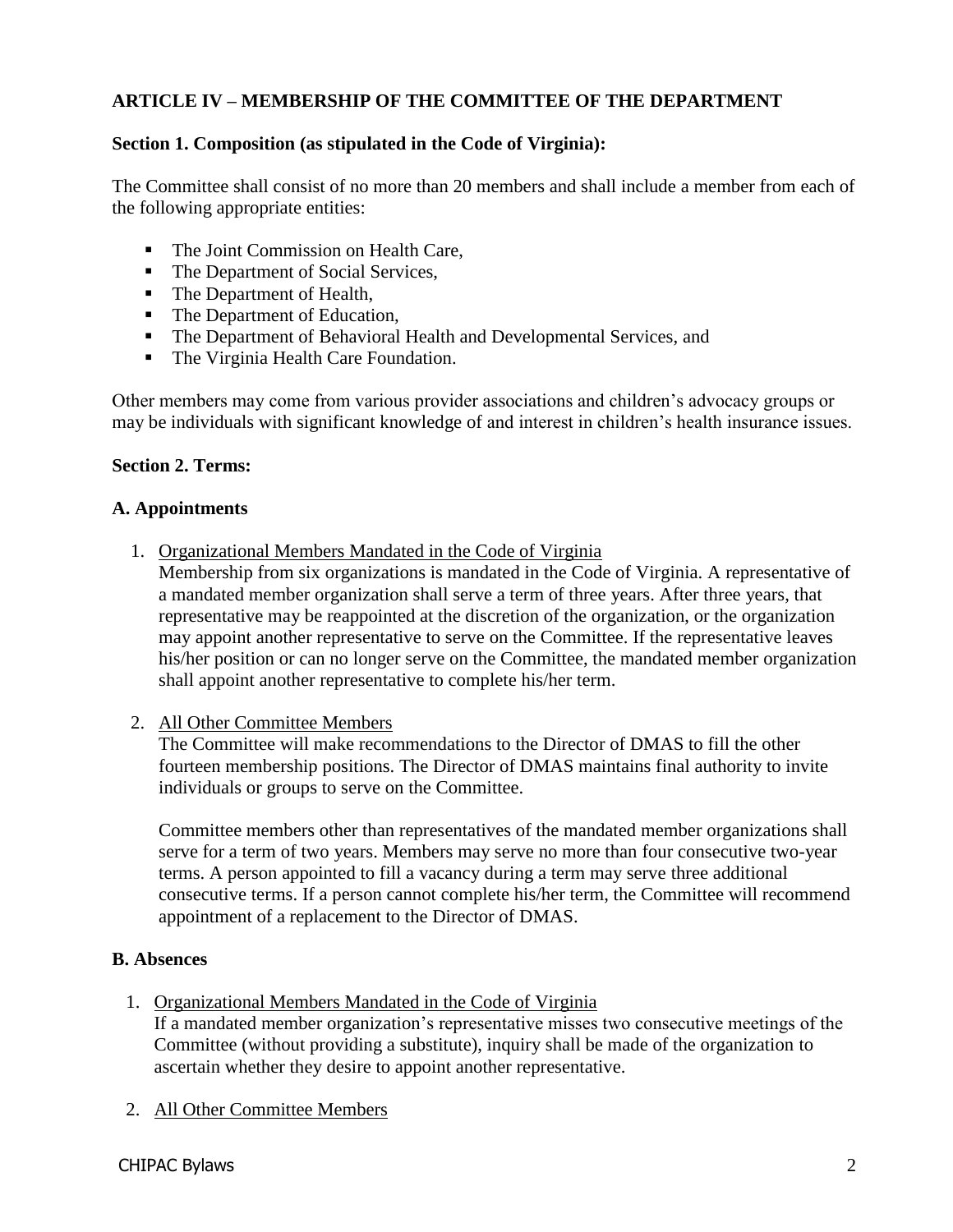## **ARTICLE IV – MEMBERSHIP OF THE COMMITTEE OF THE DEPARTMENT**

## **Section 1. Composition (as stipulated in the Code of Virginia):**

The Committee shall consist of no more than 20 members and shall include a member from each of the following appropriate entities:

- The Joint Commission on Health Care,
- The Department of Social Services,
- The Department of Health,
- The Department of Education,
- The Department of Behavioral Health and Developmental Services, and
- The Virginia Health Care Foundation.

Other members may come from various provider associations and children's advocacy groups or may be individuals with significant knowledge of and interest in children's health insurance issues.

#### **Section 2. Terms:**

#### **A. Appointments**

1. Organizational Members Mandated in the Code of Virginia

Membership from six organizations is mandated in the Code of Virginia. A representative of a mandated member organization shall serve a term of three years. After three years, that representative may be reappointed at the discretion of the organization, or the organization may appoint another representative to serve on the Committee. If the representative leaves his/her position or can no longer serve on the Committee, the mandated member organization shall appoint another representative to complete his/her term.

2. All Other Committee Members

The Committee will make recommendations to the Director of DMAS to fill the other fourteen membership positions. The Director of DMAS maintains final authority to invite individuals or groups to serve on the Committee.

Committee members other than representatives of the mandated member organizations shall serve for a term of two years. Members may serve no more than four consecutive two-year terms. A person appointed to fill a vacancy during a term may serve three additional consecutive terms. If a person cannot complete his/her term, the Committee will recommend appointment of a replacement to the Director of DMAS.

#### **B. Absences**

1. Organizational Members Mandated in the Code of Virginia

If a mandated member organization's representative misses two consecutive meetings of the Committee (without providing a substitute), inquiry shall be made of the organization to ascertain whether they desire to appoint another representative.

2. All Other Committee Members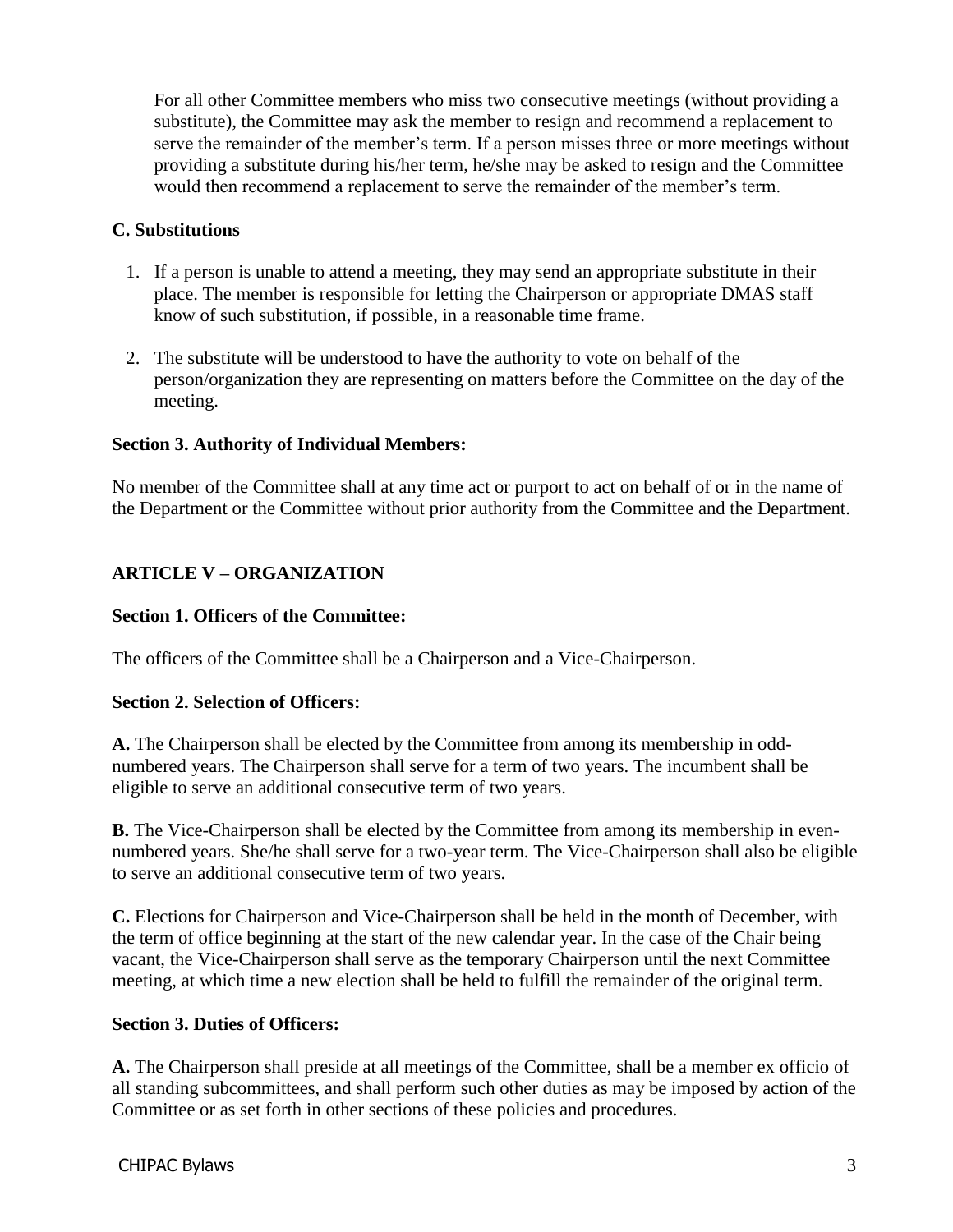For all other Committee members who miss two consecutive meetings (without providing a substitute), the Committee may ask the member to resign and recommend a replacement to serve the remainder of the member's term. If a person misses three or more meetings without providing a substitute during his/her term, he/she may be asked to resign and the Committee would then recommend a replacement to serve the remainder of the member's term.

## **C. Substitutions**

- 1. If a person is unable to attend a meeting, they may send an appropriate substitute in their place. The member is responsible for letting the Chairperson or appropriate DMAS staff know of such substitution, if possible, in a reasonable time frame.
- 2. The substitute will be understood to have the authority to vote on behalf of the person/organization they are representing on matters before the Committee on the day of the meeting.

## **Section 3. Authority of Individual Members:**

No member of the Committee shall at any time act or purport to act on behalf of or in the name of the Department or the Committee without prior authority from the Committee and the Department.

## **ARTICLE V – ORGANIZATION**

## **Section 1. Officers of the Committee:**

The officers of the Committee shall be a Chairperson and a Vice-Chairperson.

## **Section 2. Selection of Officers:**

**A.** The Chairperson shall be elected by the Committee from among its membership in oddnumbered years. The Chairperson shall serve for a term of two years. The incumbent shall be eligible to serve an additional consecutive term of two years.

**B.** The Vice-Chairperson shall be elected by the Committee from among its membership in evennumbered years. She/he shall serve for a two-year term. The Vice-Chairperson shall also be eligible to serve an additional consecutive term of two years.

**C.** Elections for Chairperson and Vice-Chairperson shall be held in the month of December, with the term of office beginning at the start of the new calendar year. In the case of the Chair being vacant, the Vice-Chairperson shall serve as the temporary Chairperson until the next Committee meeting, at which time a new election shall be held to fulfill the remainder of the original term.

## **Section 3. Duties of Officers:**

**A.** The Chairperson shall preside at all meetings of the Committee, shall be a member ex officio of all standing subcommittees, and shall perform such other duties as may be imposed by action of the Committee or as set forth in other sections of these policies and procedures.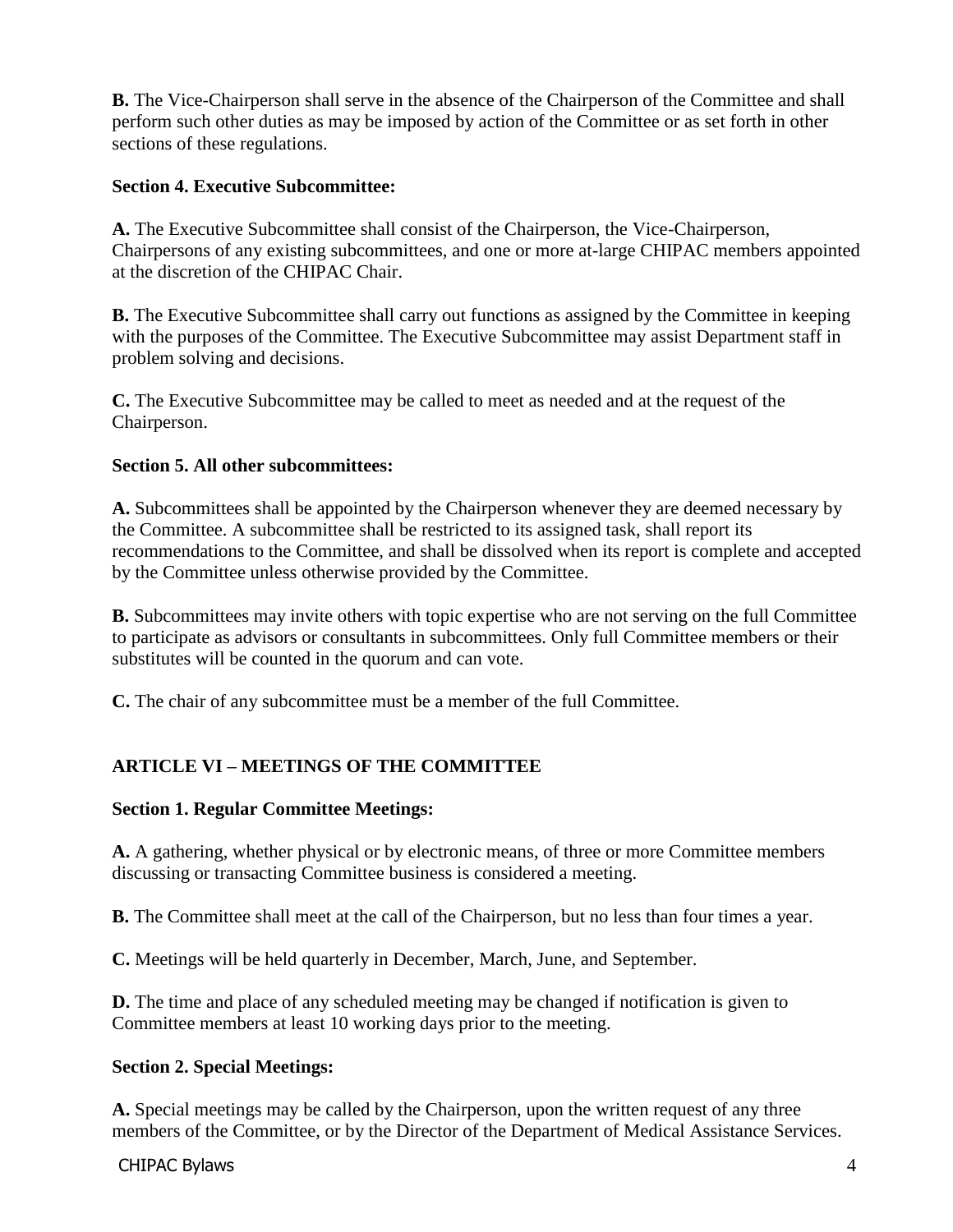**B.** The Vice-Chairperson shall serve in the absence of the Chairperson of the Committee and shall perform such other duties as may be imposed by action of the Committee or as set forth in other sections of these regulations.

## **Section 4. Executive Subcommittee:**

**A.** The Executive Subcommittee shall consist of the Chairperson, the Vice-Chairperson, Chairpersons of any existing subcommittees, and one or more at-large CHIPAC members appointed at the discretion of the CHIPAC Chair.

**B.** The Executive Subcommittee shall carry out functions as assigned by the Committee in keeping with the purposes of the Committee. The Executive Subcommittee may assist Department staff in problem solving and decisions.

**C.** The Executive Subcommittee may be called to meet as needed and at the request of the Chairperson.

## **Section 5. All other subcommittees:**

**A.** Subcommittees shall be appointed by the Chairperson whenever they are deemed necessary by the Committee. A subcommittee shall be restricted to its assigned task, shall report its recommendations to the Committee, and shall be dissolved when its report is complete and accepted by the Committee unless otherwise provided by the Committee.

**B.** Subcommittees may invite others with topic expertise who are not serving on the full Committee to participate as advisors or consultants in subcommittees. Only full Committee members or their substitutes will be counted in the quorum and can vote.

**C.** The chair of any subcommittee must be a member of the full Committee.

## **ARTICLE VI – MEETINGS OF THE COMMITTEE**

## **Section 1. Regular Committee Meetings:**

**A.** A gathering, whether physical or by electronic means, of three or more Committee members discussing or transacting Committee business is considered a meeting.

**B.** The Committee shall meet at the call of the Chairperson, but no less than four times a year.

**C.** Meetings will be held quarterly in December, March, June, and September.

**D.** The time and place of any scheduled meeting may be changed if notification is given to Committee members at least 10 working days prior to the meeting.

## **Section 2. Special Meetings:**

**A.** Special meetings may be called by the Chairperson, upon the written request of any three members of the Committee, or by the Director of the Department of Medical Assistance Services.

CHIPAC Bylaws 4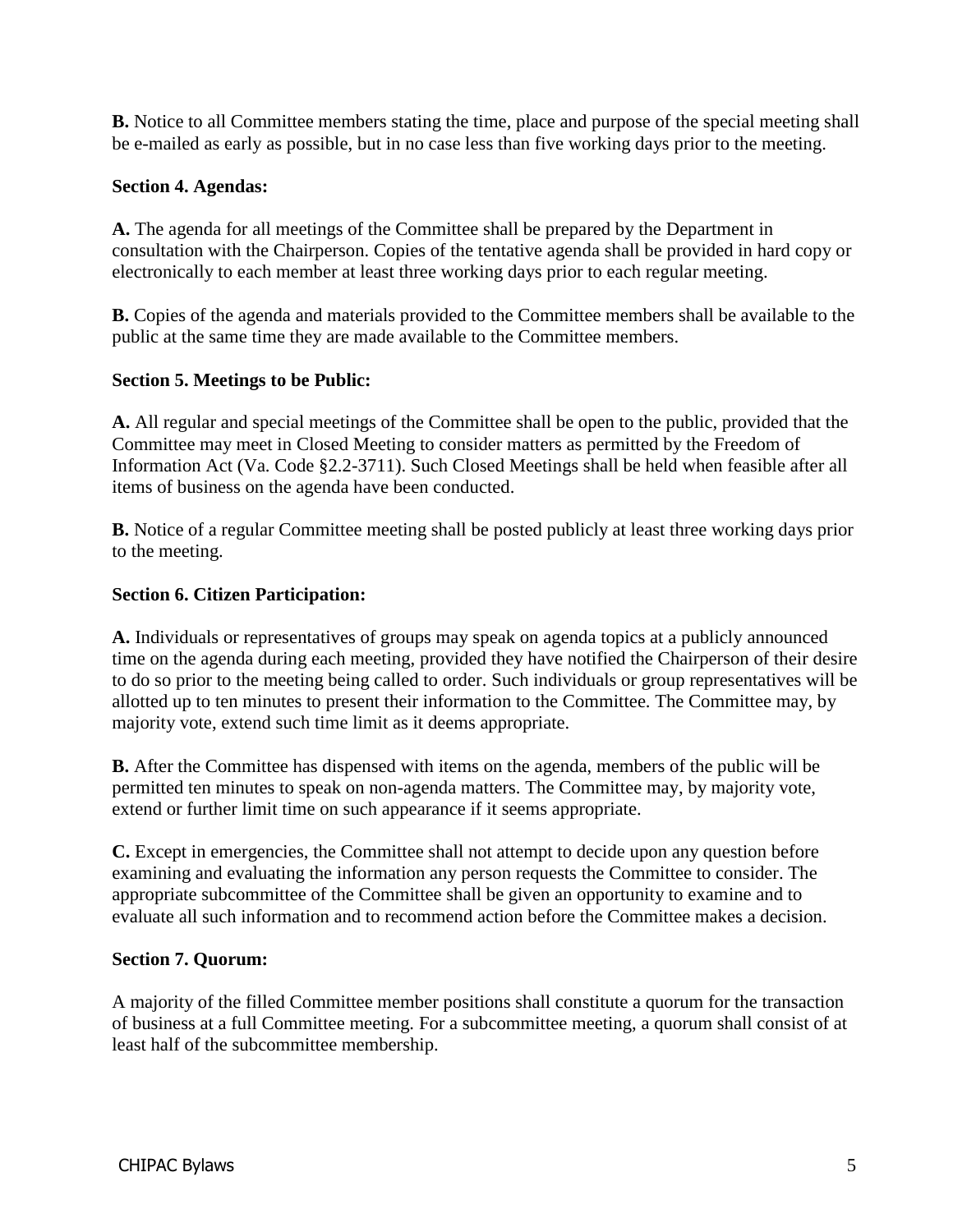**B.** Notice to all Committee members stating the time, place and purpose of the special meeting shall be e-mailed as early as possible, but in no case less than five working days prior to the meeting.

## **Section 4. Agendas:**

**A.** The agenda for all meetings of the Committee shall be prepared by the Department in consultation with the Chairperson. Copies of the tentative agenda shall be provided in hard copy or electronically to each member at least three working days prior to each regular meeting.

**B.** Copies of the agenda and materials provided to the Committee members shall be available to the public at the same time they are made available to the Committee members.

## **Section 5. Meetings to be Public:**

**A.** All regular and special meetings of the Committee shall be open to the public, provided that the Committee may meet in Closed Meeting to consider matters as permitted by the Freedom of Information Act (Va. Code §2.2-3711). Such Closed Meetings shall be held when feasible after all items of business on the agenda have been conducted.

**B.** Notice of a regular Committee meeting shall be posted publicly at least three working days prior to the meeting.

## **Section 6. Citizen Participation:**

**A.** Individuals or representatives of groups may speak on agenda topics at a publicly announced time on the agenda during each meeting, provided they have notified the Chairperson of their desire to do so prior to the meeting being called to order. Such individuals or group representatives will be allotted up to ten minutes to present their information to the Committee. The Committee may, by majority vote, extend such time limit as it deems appropriate.

**B.** After the Committee has dispensed with items on the agenda, members of the public will be permitted ten minutes to speak on non-agenda matters. The Committee may, by majority vote, extend or further limit time on such appearance if it seems appropriate.

**C.** Except in emergencies, the Committee shall not attempt to decide upon any question before examining and evaluating the information any person requests the Committee to consider. The appropriate subcommittee of the Committee shall be given an opportunity to examine and to evaluate all such information and to recommend action before the Committee makes a decision.

#### **Section 7. Quorum:**

A majority of the filled Committee member positions shall constitute a quorum for the transaction of business at a full Committee meeting. For a subcommittee meeting, a quorum shall consist of at least half of the subcommittee membership.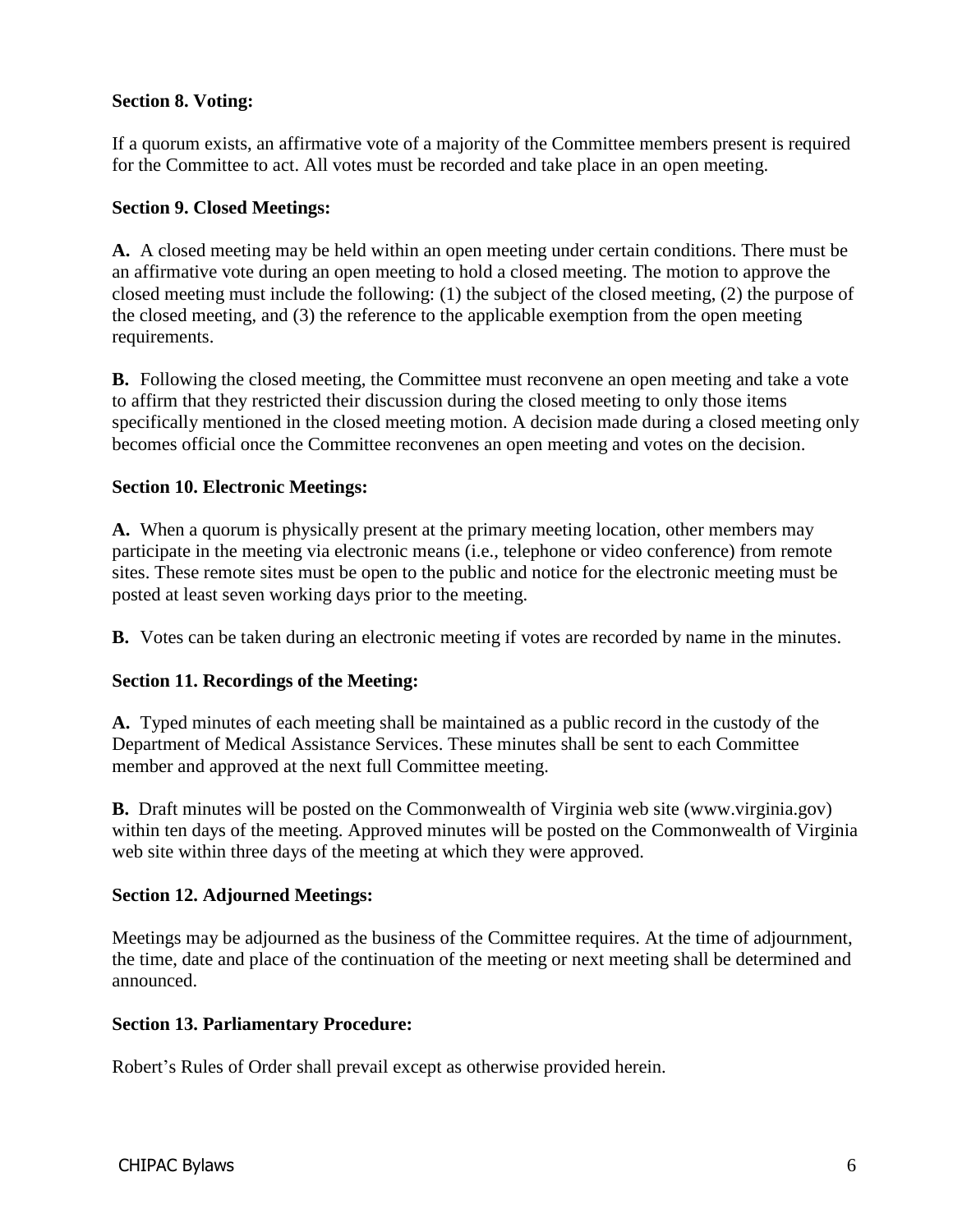## **Section 8. Voting:**

If a quorum exists, an affirmative vote of a majority of the Committee members present is required for the Committee to act. All votes must be recorded and take place in an open meeting.

#### **Section 9. Closed Meetings:**

**A.** A closed meeting may be held within an open meeting under certain conditions. There must be an affirmative vote during an open meeting to hold a closed meeting. The motion to approve the closed meeting must include the following: (1) the subject of the closed meeting, (2) the purpose of the closed meeting, and (3) the reference to the applicable exemption from the open meeting requirements.

**B.** Following the closed meeting, the Committee must reconvene an open meeting and take a vote to affirm that they restricted their discussion during the closed meeting to only those items specifically mentioned in the closed meeting motion. A decision made during a closed meeting only becomes official once the Committee reconvenes an open meeting and votes on the decision.

## **Section 10. Electronic Meetings:**

**A.** When a quorum is physically present at the primary meeting location, other members may participate in the meeting via electronic means (i.e., telephone or video conference) from remote sites. These remote sites must be open to the public and notice for the electronic meeting must be posted at least seven working days prior to the meeting.

**B.** Votes can be taken during an electronic meeting if votes are recorded by name in the minutes.

#### **Section 11. Recordings of the Meeting:**

**A.** Typed minutes of each meeting shall be maintained as a public record in the custody of the Department of Medical Assistance Services. These minutes shall be sent to each Committee member and approved at the next full Committee meeting.

**B.** Draft minutes will be posted on the Commonwealth of Virginia web site (www.virginia.gov) within ten days of the meeting. Approved minutes will be posted on the Commonwealth of Virginia web site within three days of the meeting at which they were approved.

#### **Section 12. Adjourned Meetings:**

Meetings may be adjourned as the business of the Committee requires. At the time of adjournment, the time, date and place of the continuation of the meeting or next meeting shall be determined and announced.

#### **Section 13. Parliamentary Procedure:**

Robert's Rules of Order shall prevail except as otherwise provided herein.